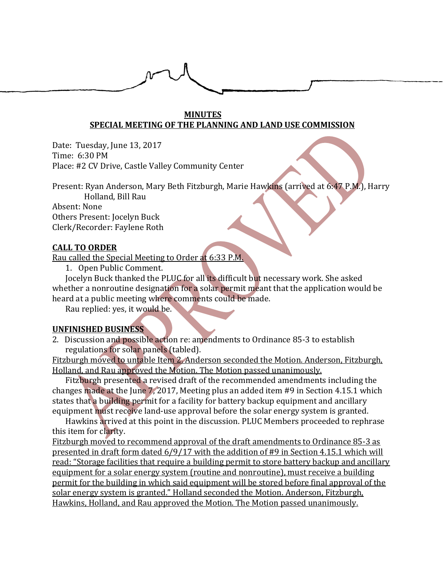### **MINUTES SPECIAL MEETING OF THE PLANNING AND LAND USE COMMISSION**

Date: Tuesday, June 13, 2017 Time: 6:30 PM Place: #2 CV Drive, Castle Valley Community Center

Present: Ryan Anderson, Mary Beth Fitzburgh, Marie Hawkins (arrived at 6:47 P.M.), Harry Holland, Bill Rau

Absent: None Others Present: Jocelyn Buck Clerk/Recorder: Faylene Roth

### **CALL TO ORDER**

Rau called the Special Meeting to Order at 6:33 P.M.

1. Open Public Comment.

Jocelyn Buck thanked the PLUC for all its difficult but necessary work. She asked whether a nonroutine designation for a solar permit meant that the application would be heard at a public meeting where comments could be made.

Rau replied: yes, it would be.

#### **UNFINISHED BUSINESS**

2. Discussion and possible action re: amendments to Ordinance 85-3 to establish regulations for solar panels (tabled).

Fitzburgh moved to untable Item 2. Anderson seconded the Motion. Anderson, Fitzburgh, Holland, and Rau approved the Motion. The Motion passed unanimously.

Fitzburgh presented a revised draft of the recommended amendments including the changes made at the June 7, 2017, Meeting plus an added item #9 in Section 4.15.1 which states that a building permit for a facility for battery backup equipment and ancillary equipment must receive land-use approval before the solar energy system is granted.

Hawkins arrived at this point in the discussion. PLUC Members proceeded to rephrase this item for clarity.

Fitzburgh moved to recommend approval of the draft amendments to Ordinance 85-3 as presented in draft form dated 6/9/17 with the addition of #9 in Section 4.15.1 which will read: "Storage facilities that require a building permit to store battery backup and ancillary equipment for a solar energy system (routine and nonroutine), must receive a building permit for the building in which said equipment will be stored before final approval of the solar energy system is granted." Holland seconded the Motion. Anderson, Fitzburgh, Hawkins, Holland, and Rau approved the Motion. The Motion passed unanimously.